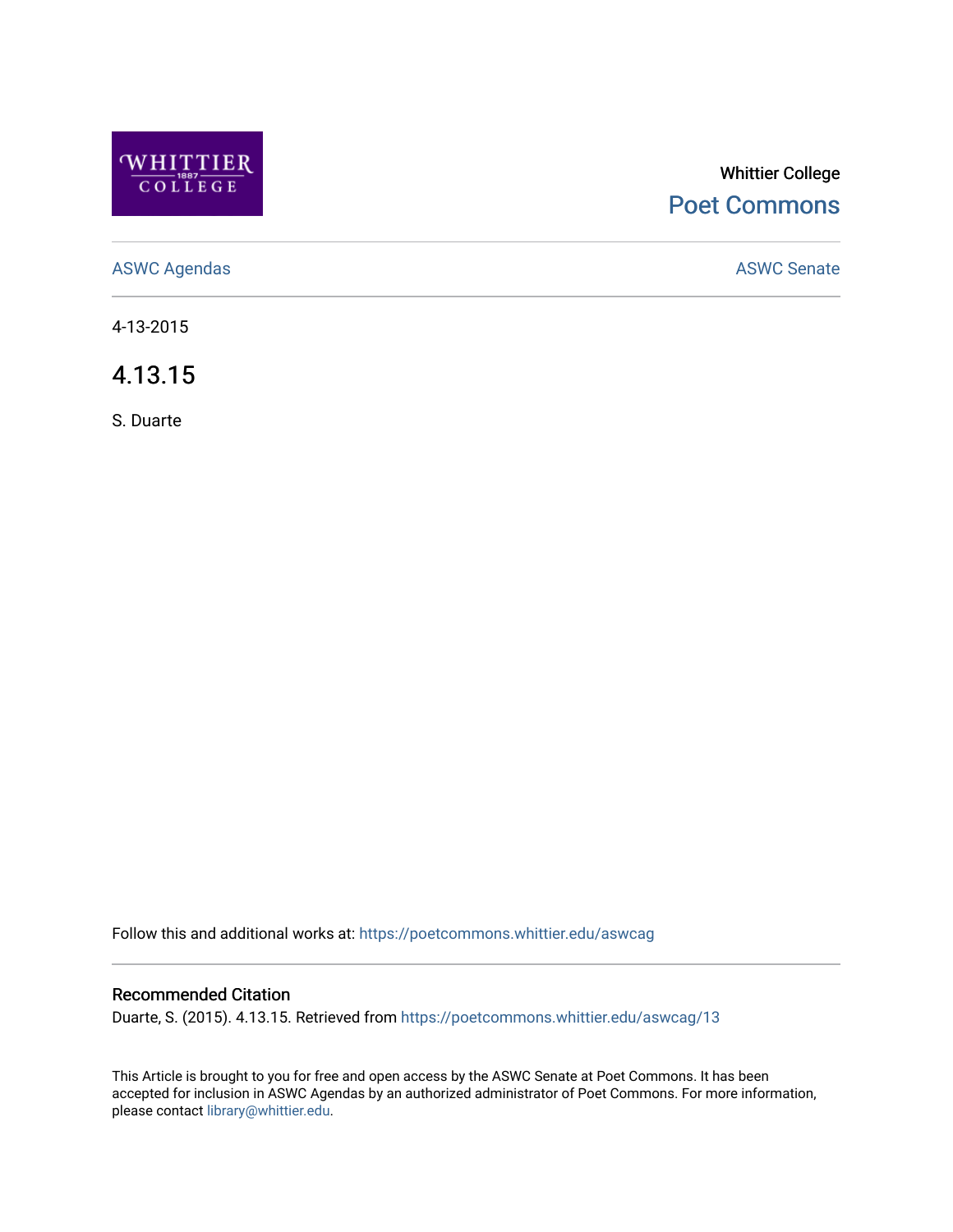

# Whittier College [Poet Commons](https://poetcommons.whittier.edu/)

[ASWC Agendas](https://poetcommons.whittier.edu/aswcag) **ASWC Senate** 

4-13-2015

4.13.15

S. Duarte

Follow this and additional works at: [https://poetcommons.whittier.edu/aswcag](https://poetcommons.whittier.edu/aswcag?utm_source=poetcommons.whittier.edu%2Faswcag%2F13&utm_medium=PDF&utm_campaign=PDFCoverPages) 

# Recommended Citation

Duarte, S. (2015). 4.13.15. Retrieved from [https://poetcommons.whittier.edu/aswcag/13](https://poetcommons.whittier.edu/aswcag/13?utm_source=poetcommons.whittier.edu%2Faswcag%2F13&utm_medium=PDF&utm_campaign=PDFCoverPages) 

This Article is brought to you for free and open access by the ASWC Senate at Poet Commons. It has been accepted for inclusion in ASWC Agendas by an authorized administrator of Poet Commons. For more information, please contact [library@whittier.edu](mailto:library@whittier.edu).